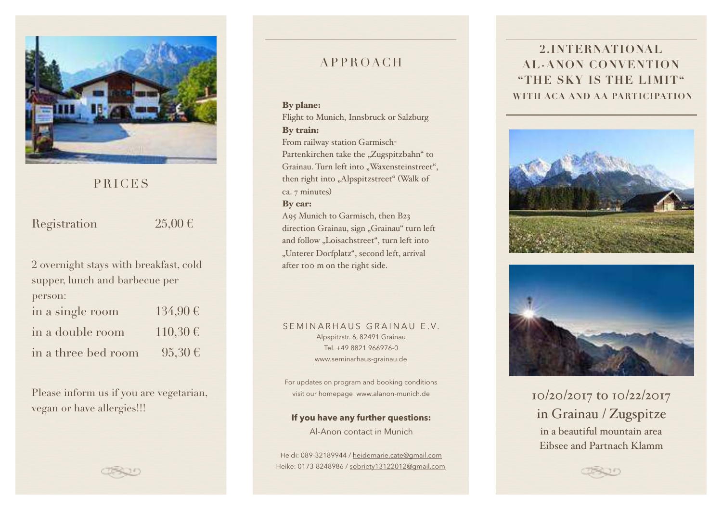

### PRICES

Registration  $25,00 \in$ 

2 overnight stays with breakfast, cold supper, lunch and barbecue per person: in a single room  $134,90 \in$ in a double room  $110,30 \in$ in a three bed room  $95.30 \in$ 

Please inform us if you are vegetarian, vegan or have allergies!!!

### APPROACH

#### By plane:

Flight to Munich, Innsbruck or Salzburg

### By train:

From railway station Garmisch-Partenkirchen take the "Zugspitzbahn" to Grainau. Turn left into "Waxensteinstreet", then right into "Alpspitzstreet" (Walk of ca. 7 minutes)

#### By car:

A95 Munich to Garmisch, then B23 direction Grainau, sign "Grainau" turn left and follow "Loisachstreet", turn left into "Unterer Dorfplatz", second left, arrival after 100 m on the right side.

#### SEMINARHAUS GRAINAU E.V. Alpspitzstr. 6, 82491 Grainau Tel. +49 8821 966976-0 www.seminarhaus-grainau.de

For updates on program and booking conditions visit our homepage www.alanon-munich.de

**If you have any further questions:**  Al-Anon contact in Munich

Heidi: 089-32189944 / heidemarie.cate@gmail.com Heike: 0173-8248986 / sobriety13122012@gmail.com

## **2.INTERNATIONAL AL-ANON CONVENTION "THE SKY IS THE LIMIT" WITH ACA AND AA PARTICIPATION**





10/20/2017 to 10/22/2017 in Grainau / Zugspitze in a beautiful mountain area Eibsee and Partnach Klamm